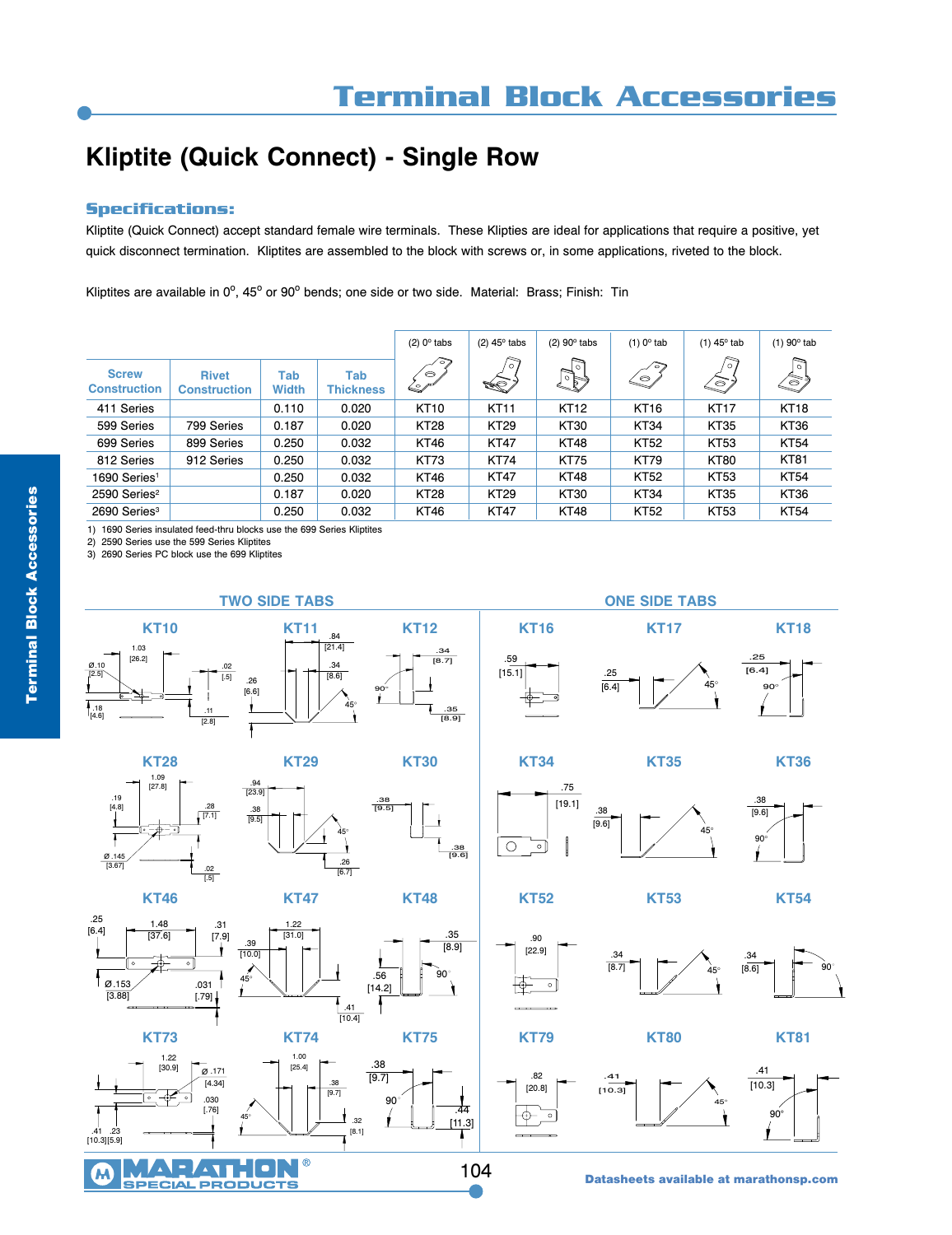## **Kliptite (Quick Connect) - Single Row**

## **Specifications:**

Kliptite (Quick Connect) accept standard female wire terminals. These Klipties are ideal for applications that require a positive, yet quick disconnect termination. Kliptites are assembled to the block with screws or, in some applications, riveted to the block.

Kliptites are available in 0°, 45° or 90° bends; one side or two side. Material: Brass; Finish: Tin

|                                     |                                     |                     |                         | $(2)$ 0 $\circ$ tabs                                                       | $(2)$ 45 $\circ$ tabs | $(2)$ 90 $\circ$ tabs | $(1)$ 0 <sup>o</sup> tab | $(1)$ 45 $^{\circ}$ tab | $(1)$ 90 $^{\circ}$ tab |
|-------------------------------------|-------------------------------------|---------------------|-------------------------|----------------------------------------------------------------------------|-----------------------|-----------------------|--------------------------|-------------------------|-------------------------|
| <b>Screw</b><br><b>Construction</b> | <b>Rivet</b><br><b>Construction</b> | Tab<br><b>Width</b> | Tab<br><b>Thickness</b> | $\tilde{\phantom{a}}$<br>$\bullet$<br>$\leqslant \hspace{-0.5em} \nearrow$ | ನ<br>L.               | চি<br>$\mathbb{P}$    | $\sim$<br>$\leftarrow$   | 'o i<br>$\bigotimes$    | চি<br>S                 |
| 411 Series                          |                                     | 0.110               | 0.020                   | <b>KT10</b>                                                                | <b>KT11</b>           | <b>KT12</b>           | <b>KT16</b>              | <b>KT17</b>             | <b>KT18</b>             |
| 599 Series                          | 799 Series                          | 0.187               | 0.020                   | <b>KT28</b>                                                                | <b>KT29</b>           | <b>KT30</b>           | KT <sub>34</sub>         | <b>KT35</b>             | <b>KT36</b>             |
| 699 Series                          | 899 Series                          | 0.250               | 0.032                   | <b>KT46</b>                                                                | <b>KT47</b>           | <b>KT48</b>           | <b>KT52</b>              | <b>KT53</b>             | <b>KT54</b>             |
| 812 Series                          | 912 Series                          | 0.250               | 0.032                   | <b>KT73</b>                                                                | <b>KT74</b>           | <b>KT75</b>           | <b>KT79</b>              | <b>KT80</b>             | <b>KT81</b>             |
| 1690 Series <sup>1</sup>            |                                     | 0.250               | 0.032                   | <b>KT46</b>                                                                | <b>KT47</b>           | <b>KT48</b>           | <b>KT52</b>              | <b>KT53</b>             | <b>KT54</b>             |
| 2590 Series <sup>2</sup>            |                                     | 0.187               | 0.020                   | <b>KT28</b>                                                                | <b>KT29</b>           | <b>KT30</b>           | KT <sub>34</sub>         | <b>KT35</b>             | <b>KT36</b>             |
| $2690$ Series <sup>3</sup>          |                                     | 0.250               | 0.032                   | KT46                                                                       | <b>KT47</b>           | <b>KT48</b>           | KT52                     | <b>KT53</b>             | <b>KT54</b>             |

1) 1690 Series insulated feed-thru blocks use the 699 Series Kliptites

2) 2590 Series use the 599 Series Kliptites

3) 2690 Series PC block use the 699 Kliptites